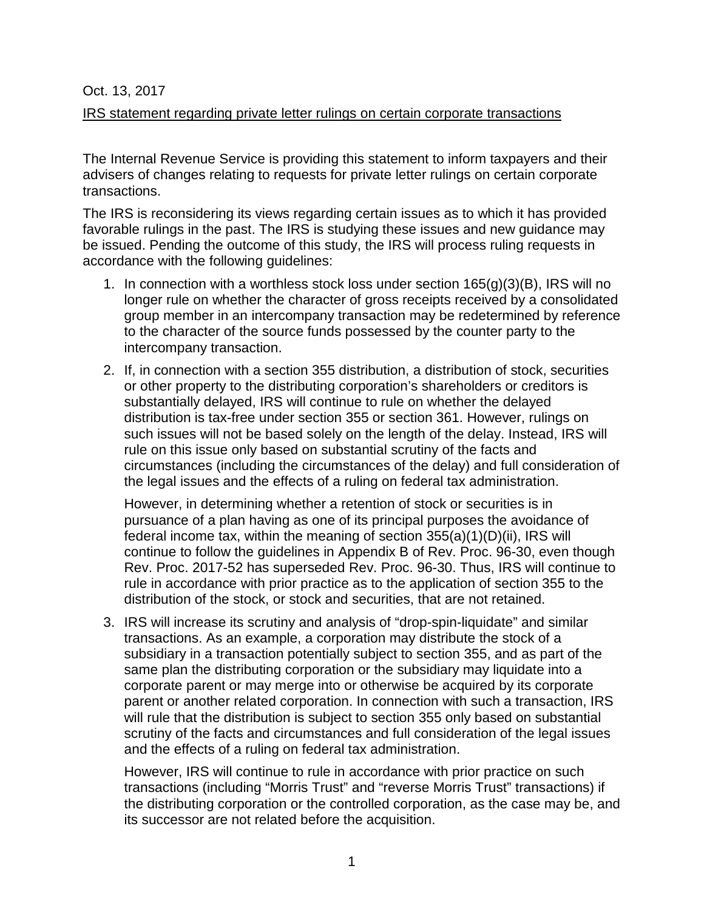## Oct. 13, 2017

## IRS statement regarding private letter rulings on certain corporate transactions

The Internal Revenue Service is providing this statement to inform taxpayers and their advisers of changes relating to requests for private letter rulings on certain corporate transactions.

The IRS is reconsidering its views regarding certain issues as to which it has provided favorable rulings in the past. The IRS is studying these issues and new guidance may be issued. Pending the outcome of this study, the IRS will process ruling requests in accordance with the following guidelines:

- 1. In connection with a worthless stock loss under section  $165(g)(3)(B)$ , IRS will no longer rule on whether the character of gross receipts received by a consolidated group member in an intercompany transaction may be redetermined by reference to the character of the source funds possessed by the counter party to the intercompany transaction.
- 2. If, in connection with a section 355 distribution, a distribution of stock, securities or other property to the distributing corporation's shareholders or creditors is substantially delayed, IRS will continue to rule on whether the delayed distribution is tax-free under section 355 or section 361. However, rulings on such issues will not be based solely on the length of the delay. Instead, IRS will rule on this issue only based on substantial scrutiny of the facts and circumstances (including the circumstances of the delay) and full consideration of the legal issues and the effects of a ruling on federal tax administration.

However, in determining whether a retention of stock or securities is in pursuance of a plan having as one of its principal purposes the avoidance of federal income tax, within the meaning of section 355(a)(1)(D)(ii), IRS will continue to follow the guidelines in Appendix B of Rev. Proc. 96-30, even though Rev. Proc. 2017-52 has superseded Rev. Proc. 96-30. Thus, IRS will continue to rule in accordance with prior practice as to the application of section 355 to the distribution of the stock, or stock and securities, that are not retained.

3. IRS will increase its scrutiny and analysis of "drop-spin-liquidate" and similar transactions. As an example, a corporation may distribute the stock of a subsidiary in a transaction potentially subject to section 355, and as part of the same plan the distributing corporation or the subsidiary may liquidate into a corporate parent or may merge into or otherwise be acquired by its corporate parent or another related corporation. In connection with such a transaction, IRS will rule that the distribution is subject to section 355 only based on substantial scrutiny of the facts and circumstances and full consideration of the legal issues and the effects of a ruling on federal tax administration.

However, IRS will continue to rule in accordance with prior practice on such transactions (including "Morris Trust" and "reverse Morris Trust" transactions) if the distributing corporation or the controlled corporation, as the case may be, and its successor are not related before the acquisition.